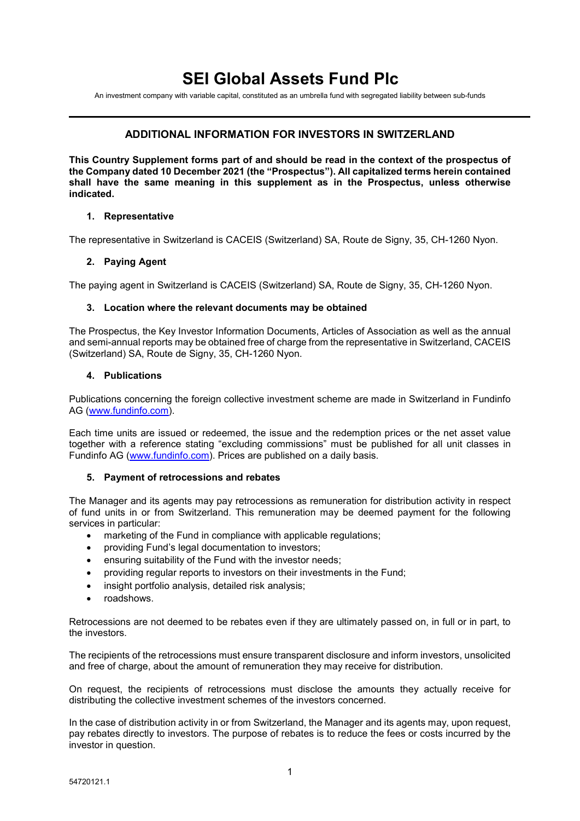# **SEI Global Assets Fund Plc**

An investment company with variable capital, constituted as an umbrella fund with segregated liability between sub-funds

## **ADDITIONAL INFORMATION FOR INVESTORS IN SWITZERLAND**

**This Country Supplement forms part of and should be read in the context of the prospectus of the Company dated 10 December 2021 (the "Prospectus"). All capitalized terms herein contained shall have the same meaning in this supplement as in the Prospectus, unless otherwise indicated.**

#### **1. Representative**

The representative in Switzerland is CACEIS (Switzerland) SA, Route de Signy, 35, CH-1260 Nyon.

### **2. Paying Agent**

The paying agent in Switzerland is CACEIS (Switzerland) SA, Route de Signy, 35, CH-1260 Nyon.

#### **3. Location where the relevant documents may be obtained**

The Prospectus, the Key Investor Information Documents, Articles of Association as well as the annual and semi-annual reports may be obtained free of charge from the representative in Switzerland, CACEIS (Switzerland) SA, Route de Signy, 35, CH-1260 Nyon.

#### **4. Publications**

Publications concerning the foreign collective investment scheme are made in Switzerland in Fundinfo AG [\(www.fundinfo.com\)](http://www.fundinfo.com/).

Each time units are issued or redeemed, the issue and the redemption prices or the net asset value together with a reference stating "excluding commissions" must be published for all unit classes in Fundinfo AG [\(www.fundinfo.com\)](http://www.fundinfo.com/). Prices are published on a daily basis.

#### **5. Payment of retrocessions and rebates**

The Manager and its agents may pay retrocessions as remuneration for distribution activity in respect of fund units in or from Switzerland. This remuneration may be deemed payment for the following services in particular:

- marketing of the Fund in compliance with applicable regulations;
- providing Fund's legal documentation to investors;
- ensuring suitability of the Fund with the investor needs;
- providing regular reports to investors on their investments in the Fund;
- insight portfolio analysis, detailed risk analysis;
- roadshows.

Retrocessions are not deemed to be rebates even if they are ultimately passed on, in full or in part, to the investors.

The recipients of the retrocessions must ensure transparent disclosure and inform investors, unsolicited and free of charge, about the amount of remuneration they may receive for distribution.

On request, the recipients of retrocessions must disclose the amounts they actually receive for distributing the collective investment schemes of the investors concerned.

In the case of distribution activity in or from Switzerland, the Manager and its agents may, upon request, pay rebates directly to investors. The purpose of rebates is to reduce the fees or costs incurred by the investor in question.